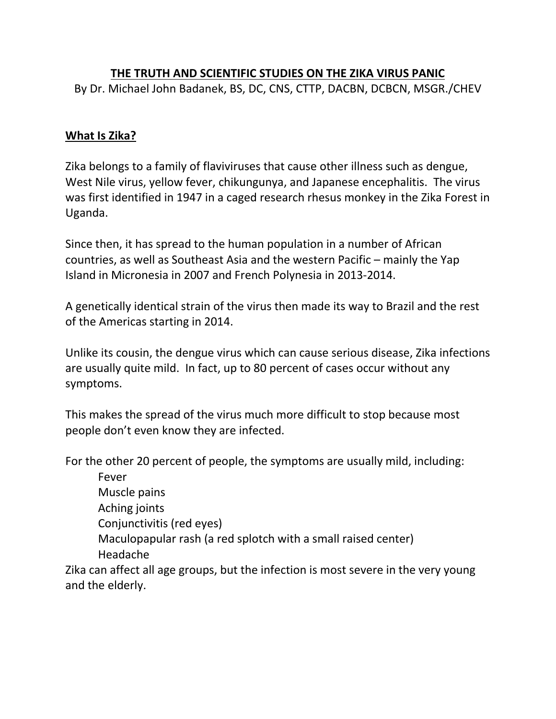# **THE TRUTH AND SCIENTIFIC STUDIES ON THE ZIKA VIRUS PANIC**

By Dr. Michael John Badanek, BS, DC, CNS, CTTP, DACBN, DCBCN, MSGR./CHEV

#### **What Is Zika?**

Zika belongs to a family of flaviviruses that cause other illness such as dengue, West Nile virus, yellow fever, chikungunya, and Japanese encephalitis. The virus was first identified in 1947 in a caged research rhesus monkey in the Zika Forest in Uganda.

Since then, it has spread to the human population in a number of African countries, as well as Southeast Asia and the western Pacific – mainly the Yap Island in Micronesia in 2007 and French Polynesia in 2013-2014.

A genetically identical strain of the virus then made its way to Brazil and the rest of the Americas starting in 2014.

Unlike its cousin, the dengue virus which can cause serious disease, Zika infections are usually quite mild. In fact, up to 80 percent of cases occur without any symptoms.

This makes the spread of the virus much more difficult to stop because most people don't even know they are infected.

For the other 20 percent of people, the symptoms are usually mild, including:

Fever Muscle pains Aching joints Conjunctivitis (red eyes) Maculopapular rash (a red splotch with a small raised center) Headache

Zika can affect all age groups, but the infection is most severe in the very young and the elderly.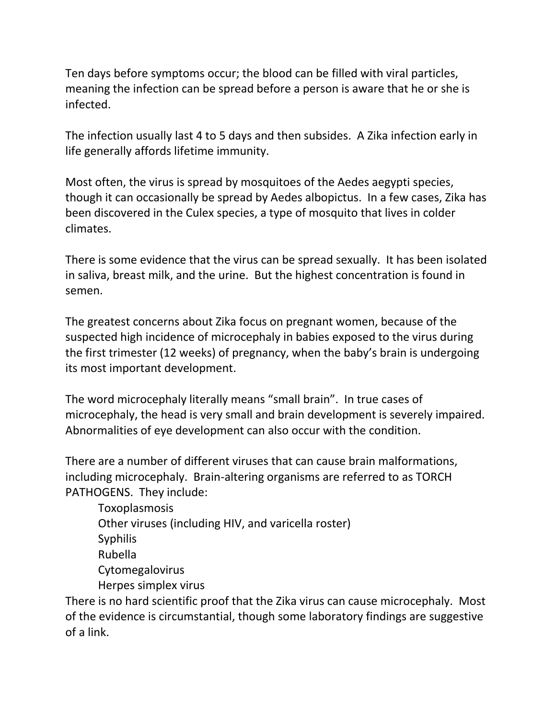Ten days before symptoms occur; the blood can be filled with viral particles, meaning the infection can be spread before a person is aware that he or she is infected.

The infection usually last 4 to 5 days and then subsides. A Zika infection early in life generally affords lifetime immunity.

Most often, the virus is spread by mosquitoes of the Aedes aegypti species, though it can occasionally be spread by Aedes albopictus. In a few cases, Zika has been discovered in the Culex species, a type of mosquito that lives in colder climates.

There is some evidence that the virus can be spread sexually. It has been isolated in saliva, breast milk, and the urine. But the highest concentration is found in semen.

The greatest concerns about Zika focus on pregnant women, because of the suspected high incidence of microcephaly in babies exposed to the virus during the first trimester (12 weeks) of pregnancy, when the baby's brain is undergoing its most important development.

The word microcephaly literally means "small brain". In true cases of microcephaly, the head is very small and brain development is severely impaired. Abnormalities of eye development can also occur with the condition.

There are a number of different viruses that can cause brain malformations, including microcephaly. Brain-altering organisms are referred to as TORCH PATHOGENS. They include:

Toxoplasmosis Other viruses (including HIV, and varicella roster) Syphilis Rubella Cytomegalovirus Herpes simplex virus

There is no hard scientific proof that the Zika virus can cause microcephaly. Most of the evidence is circumstantial, though some laboratory findings are suggestive of a link.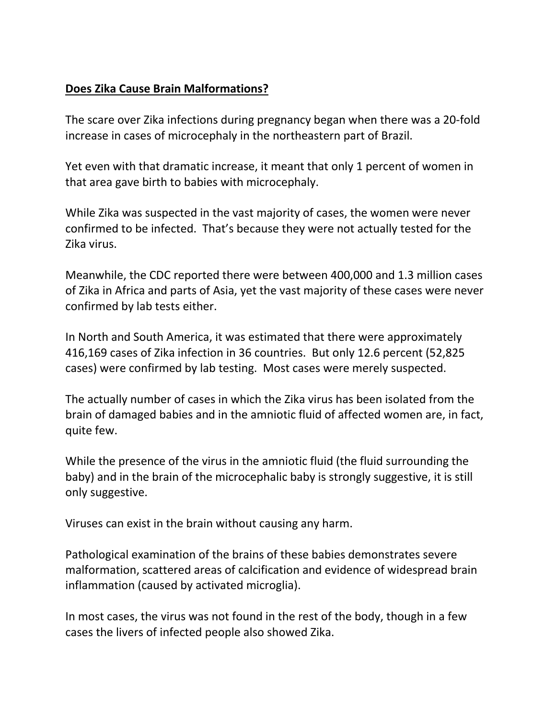# **Does Zika Cause Brain Malformations?**

The scare over Zika infections during pregnancy began when there was a 20-fold increase in cases of microcephaly in the northeastern part of Brazil.

Yet even with that dramatic increase, it meant that only 1 percent of women in that area gave birth to babies with microcephaly.

While Zika was suspected in the vast majority of cases, the women were never confirmed to be infected. That's because they were not actually tested for the Zika virus.

Meanwhile, the CDC reported there were between 400,000 and 1.3 million cases of Zika in Africa and parts of Asia, yet the vast majority of these cases were never confirmed by lab tests either.

In North and South America, it was estimated that there were approximately 416,169 cases of Zika infection in 36 countries. But only 12.6 percent (52,825 cases) were confirmed by lab testing. Most cases were merely suspected.

The actually number of cases in which the Zika virus has been isolated from the brain of damaged babies and in the amniotic fluid of affected women are, in fact, quite few.

While the presence of the virus in the amniotic fluid (the fluid surrounding the baby) and in the brain of the microcephalic baby is strongly suggestive, it is still only suggestive.

Viruses can exist in the brain without causing any harm.

Pathological examination of the brains of these babies demonstrates severe malformation, scattered areas of calcification and evidence of widespread brain inflammation (caused by activated microglia).

In most cases, the virus was not found in the rest of the body, though in a few cases the livers of infected people also showed Zika.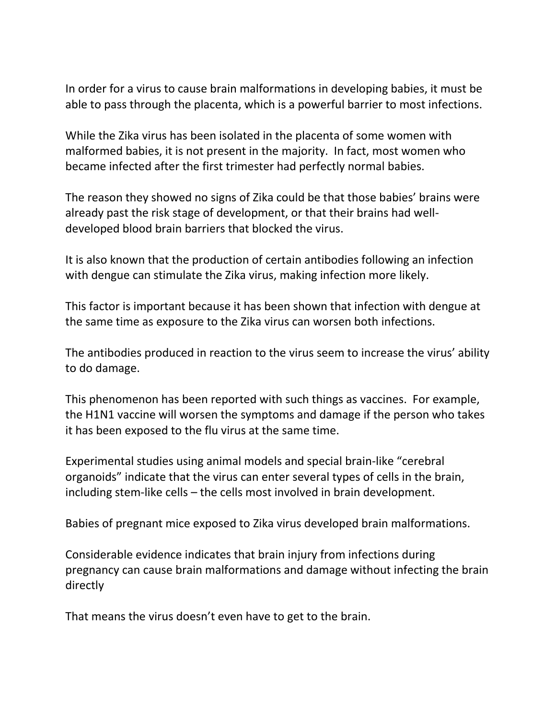In order for a virus to cause brain malformations in developing babies, it must be able to pass through the placenta, which is a powerful barrier to most infections.

While the Zika virus has been isolated in the placenta of some women with malformed babies, it is not present in the majority. In fact, most women who became infected after the first trimester had perfectly normal babies.

The reason they showed no signs of Zika could be that those babies' brains were already past the risk stage of development, or that their brains had welldeveloped blood brain barriers that blocked the virus.

It is also known that the production of certain antibodies following an infection with dengue can stimulate the Zika virus, making infection more likely.

This factor is important because it has been shown that infection with dengue at the same time as exposure to the Zika virus can worsen both infections.

The antibodies produced in reaction to the virus seem to increase the virus' ability to do damage.

This phenomenon has been reported with such things as vaccines. For example, the H1N1 vaccine will worsen the symptoms and damage if the person who takes it has been exposed to the flu virus at the same time.

Experimental studies using animal models and special brain-like "cerebral organoids" indicate that the virus can enter several types of cells in the brain, including stem-like cells – the cells most involved in brain development.

Babies of pregnant mice exposed to Zika virus developed brain malformations.

Considerable evidence indicates that brain injury from infections during pregnancy can cause brain malformations and damage without infecting the brain directly

That means the virus doesn't even have to get to the brain.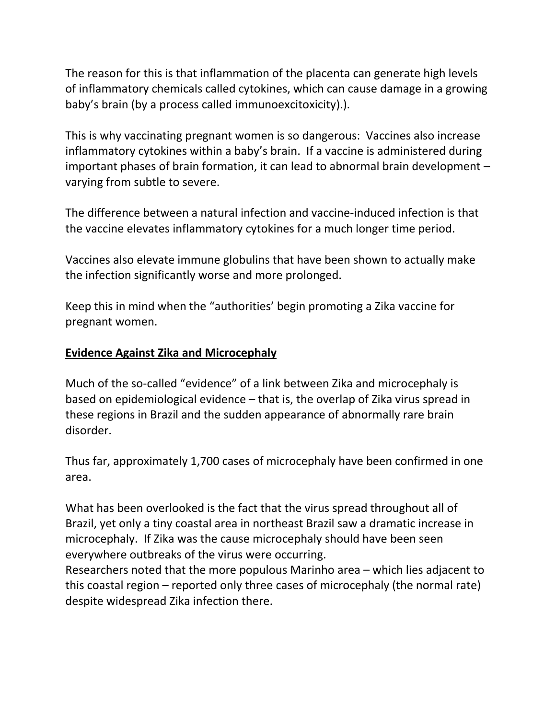The reason for this is that inflammation of the placenta can generate high levels of inflammatory chemicals called cytokines, which can cause damage in a growing baby's brain (by a process called immunoexcitoxicity).).

This is why vaccinating pregnant women is so dangerous: Vaccines also increase inflammatory cytokines within a baby's brain. If a vaccine is administered during important phases of brain formation, it can lead to abnormal brain development – varying from subtle to severe.

The difference between a natural infection and vaccine-induced infection is that the vaccine elevates inflammatory cytokines for a much longer time period.

Vaccines also elevate immune globulins that have been shown to actually make the infection significantly worse and more prolonged.

Keep this in mind when the "authorities' begin promoting a Zika vaccine for pregnant women.

#### **Evidence Against Zika and Microcephaly**

Much of the so-called "evidence" of a link between Zika and microcephaly is based on epidemiological evidence – that is, the overlap of Zika virus spread in these regions in Brazil and the sudden appearance of abnormally rare brain disorder.

Thus far, approximately 1,700 cases of microcephaly have been confirmed in one area.

What has been overlooked is the fact that the virus spread throughout all of Brazil, yet only a tiny coastal area in northeast Brazil saw a dramatic increase in microcephaly. If Zika was the cause microcephaly should have been seen everywhere outbreaks of the virus were occurring.

Researchers noted that the more populous Marinho area – which lies adjacent to this coastal region – reported only three cases of microcephaly (the normal rate) despite widespread Zika infection there.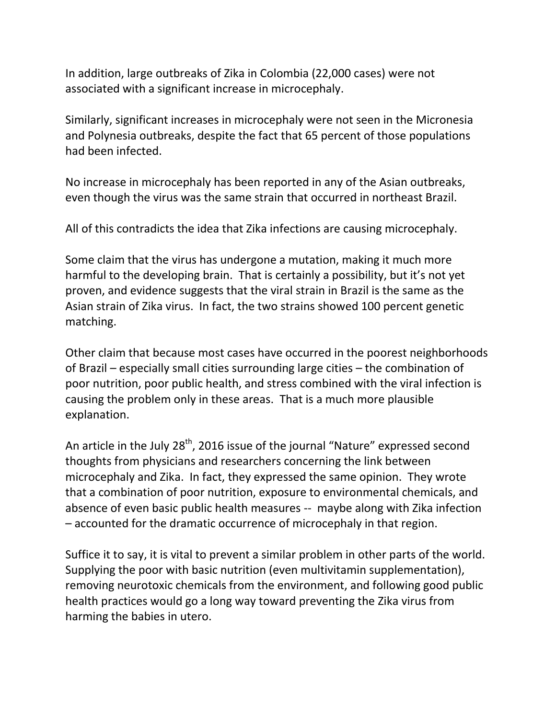In addition, large outbreaks of Zika in Colombia (22,000 cases) were not associated with a significant increase in microcephaly.

Similarly, significant increases in microcephaly were not seen in the Micronesia and Polynesia outbreaks, despite the fact that 65 percent of those populations had been infected.

No increase in microcephaly has been reported in any of the Asian outbreaks, even though the virus was the same strain that occurred in northeast Brazil.

All of this contradicts the idea that Zika infections are causing microcephaly.

Some claim that the virus has undergone a mutation, making it much more harmful to the developing brain. That is certainly a possibility, but it's not yet proven, and evidence suggests that the viral strain in Brazil is the same as the Asian strain of Zika virus. In fact, the two strains showed 100 percent genetic matching.

Other claim that because most cases have occurred in the poorest neighborhoods of Brazil – especially small cities surrounding large cities – the combination of poor nutrition, poor public health, and stress combined with the viral infection is causing the problem only in these areas. That is a much more plausible explanation.

An article in the July  $28<sup>th</sup>$ , 2016 issue of the journal "Nature" expressed second thoughts from physicians and researchers concerning the link between microcephaly and Zika. In fact, they expressed the same opinion. They wrote that a combination of poor nutrition, exposure to environmental chemicals, and absence of even basic public health measures -- maybe along with Zika infection – accounted for the dramatic occurrence of microcephaly in that region.

Suffice it to say, it is vital to prevent a similar problem in other parts of the world. Supplying the poor with basic nutrition (even multivitamin supplementation), removing neurotoxic chemicals from the environment, and following good public health practices would go a long way toward preventing the Zika virus from harming the babies in utero.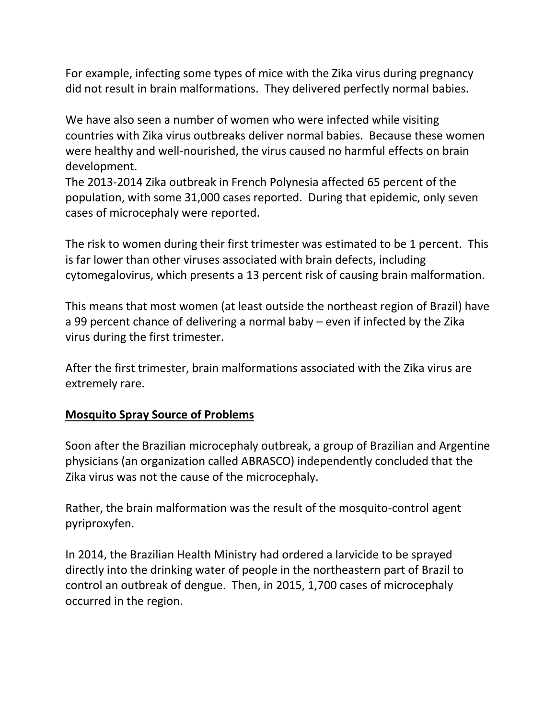For example, infecting some types of mice with the Zika virus during pregnancy did not result in brain malformations. They delivered perfectly normal babies.

We have also seen a number of women who were infected while visiting countries with Zika virus outbreaks deliver normal babies. Because these women were healthy and well-nourished, the virus caused no harmful effects on brain development.

The 2013-2014 Zika outbreak in French Polynesia affected 65 percent of the population, with some 31,000 cases reported. During that epidemic, only seven cases of microcephaly were reported.

The risk to women during their first trimester was estimated to be 1 percent. This is far lower than other viruses associated with brain defects, including cytomegalovirus, which presents a 13 percent risk of causing brain malformation.

This means that most women (at least outside the northeast region of Brazil) have a 99 percent chance of delivering a normal baby – even if infected by the Zika virus during the first trimester.

After the first trimester, brain malformations associated with the Zika virus are extremely rare.

# **Mosquito Spray Source of Problems**

Soon after the Brazilian microcephaly outbreak, a group of Brazilian and Argentine physicians (an organization called ABRASCO) independently concluded that the Zika virus was not the cause of the microcephaly.

Rather, the brain malformation was the result of the mosquito-control agent pyriproxyfen.

In 2014, the Brazilian Health Ministry had ordered a larvicide to be sprayed directly into the drinking water of people in the northeastern part of Brazil to control an outbreak of dengue. Then, in 2015, 1,700 cases of microcephaly occurred in the region.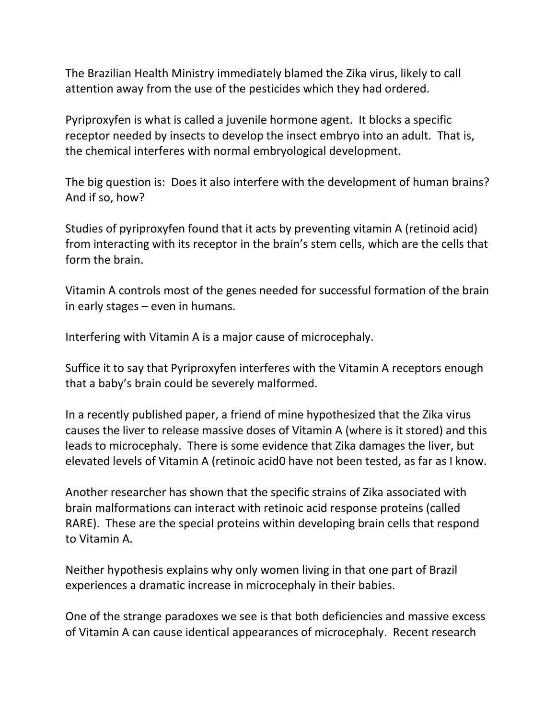The Brazilian Health Ministry immediately blamed the Zika virus, likely to call attention away from the use of the pesticides which they had ordered.

Pyriproxyfen is what is called a juvenile hormone agent. It blocks a specific receptor needed by insects to develop the insect embryo into an adult. That is, the chemical interferes with normal embryological development.

The big question is: Does it also interfere with the development of human brains? And if so, how?

Studies of pyriproxyfen found that it acts by preventing vitamin A (retinoid acid) from interacting with its receptor in the brain's stem cells, which are the cells that form the brain.

Vitamin A controls most of the genes needed for successful formation of the brain in early stages – even in humans.

Interfering with Vitamin A is a major cause of microcephaly.

Suffice it to say that Pyriproxyfen interferes with the Vitamin A receptors enough that a baby's brain could be severely malformed.

In a recently published paper, a friend of mine hypothesized that the Zika virus causes the liver to release massive doses of Vitamin A (where is it stored) and this leads to microcephaly. There is some evidence that Zika damages the liver, but elevated levels of Vitamin A (retinoic acid0 have not been tested, as far as I know.

Another researcher has shown that the specific strains of Zika associated with brain malformations can interact with retinoic acid response proteins (called RARE). These are the special proteins within developing brain cells that respond to Vitamin A.

Neither hypothesis explains why only women living in that one part of Brazil experiences a dramatic increase in microcephaly in their babies.

One of the strange paradoxes we see is that both deficiencies and massive excess of Vitamin A can cause identical appearances of microcephaly. Recent research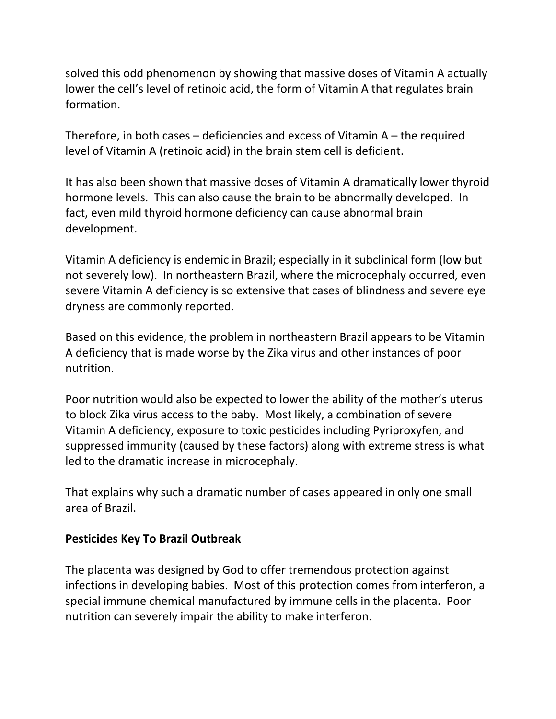solved this odd phenomenon by showing that massive doses of Vitamin A actually lower the cell's level of retinoic acid, the form of Vitamin A that regulates brain formation.

Therefore, in both cases  $-$  deficiencies and excess of Vitamin  $A -$  the required level of Vitamin A (retinoic acid) in the brain stem cell is deficient.

It has also been shown that massive doses of Vitamin A dramatically lower thyroid hormone levels. This can also cause the brain to be abnormally developed. In fact, even mild thyroid hormone deficiency can cause abnormal brain development.

Vitamin A deficiency is endemic in Brazil; especially in it subclinical form (low but not severely low). In northeastern Brazil, where the microcephaly occurred, even severe Vitamin A deficiency is so extensive that cases of blindness and severe eye dryness are commonly reported.

Based on this evidence, the problem in northeastern Brazil appears to be Vitamin A deficiency that is made worse by the Zika virus and other instances of poor nutrition.

Poor nutrition would also be expected to lower the ability of the mother's uterus to block Zika virus access to the baby. Most likely, a combination of severe Vitamin A deficiency, exposure to toxic pesticides including Pyriproxyfen, and suppressed immunity (caused by these factors) along with extreme stress is what led to the dramatic increase in microcephaly.

That explains why such a dramatic number of cases appeared in only one small area of Brazil.

#### **Pesticides Key To Brazil Outbreak**

The placenta was designed by God to offer tremendous protection against infections in developing babies. Most of this protection comes from interferon, a special immune chemical manufactured by immune cells in the placenta. Poor nutrition can severely impair the ability to make interferon.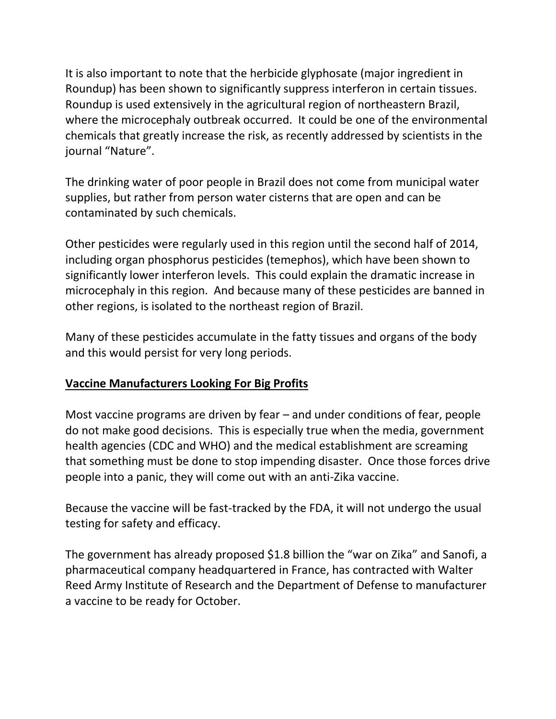It is also important to note that the herbicide glyphosate (major ingredient in Roundup) has been shown to significantly suppress interferon in certain tissues. Roundup is used extensively in the agricultural region of northeastern Brazil, where the microcephaly outbreak occurred. It could be one of the environmental chemicals that greatly increase the risk, as recently addressed by scientists in the journal "Nature".

The drinking water of poor people in Brazil does not come from municipal water supplies, but rather from person water cisterns that are open and can be contaminated by such chemicals.

Other pesticides were regularly used in this region until the second half of 2014, including organ phosphorus pesticides (temephos), which have been shown to significantly lower interferon levels. This could explain the dramatic increase in microcephaly in this region. And because many of these pesticides are banned in other regions, is isolated to the northeast region of Brazil.

Many of these pesticides accumulate in the fatty tissues and organs of the body and this would persist for very long periods.

# **Vaccine Manufacturers Looking For Big Profits**

Most vaccine programs are driven by fear – and under conditions of fear, people do not make good decisions. This is especially true when the media, government health agencies (CDC and WHO) and the medical establishment are screaming that something must be done to stop impending disaster. Once those forces drive people into a panic, they will come out with an anti-Zika vaccine.

Because the vaccine will be fast-tracked by the FDA, it will not undergo the usual testing for safety and efficacy.

The government has already proposed \$1.8 billion the "war on Zika" and Sanofi, a pharmaceutical company headquartered in France, has contracted with Walter Reed Army Institute of Research and the Department of Defense to manufacturer a vaccine to be ready for October.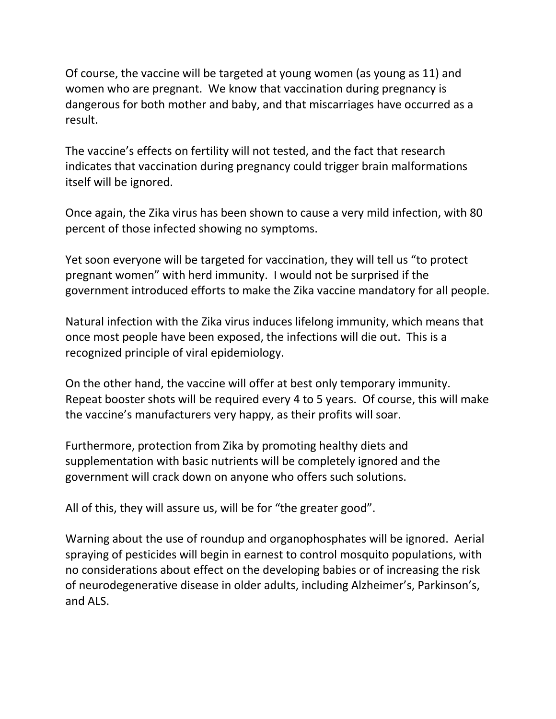Of course, the vaccine will be targeted at young women (as young as 11) and women who are pregnant. We know that vaccination during pregnancy is dangerous for both mother and baby, and that miscarriages have occurred as a result.

The vaccine's effects on fertility will not tested, and the fact that research indicates that vaccination during pregnancy could trigger brain malformations itself will be ignored.

Once again, the Zika virus has been shown to cause a very mild infection, with 80 percent of those infected showing no symptoms.

Yet soon everyone will be targeted for vaccination, they will tell us "to protect pregnant women" with herd immunity. I would not be surprised if the government introduced efforts to make the Zika vaccine mandatory for all people.

Natural infection with the Zika virus induces lifelong immunity, which means that once most people have been exposed, the infections will die out. This is a recognized principle of viral epidemiology.

On the other hand, the vaccine will offer at best only temporary immunity. Repeat booster shots will be required every 4 to 5 years. Of course, this will make the vaccine's manufacturers very happy, as their profits will soar.

Furthermore, protection from Zika by promoting healthy diets and supplementation with basic nutrients will be completely ignored and the government will crack down on anyone who offers such solutions.

All of this, they will assure us, will be for "the greater good".

Warning about the use of roundup and organophosphates will be ignored. Aerial spraying of pesticides will begin in earnest to control mosquito populations, with no considerations about effect on the developing babies or of increasing the risk of neurodegenerative disease in older adults, including Alzheimer's, Parkinson's, and ALS.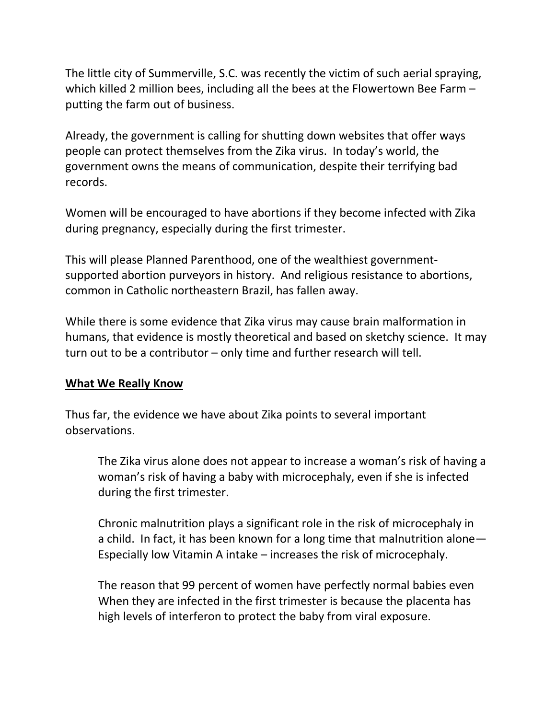The little city of Summerville, S.C. was recently the victim of such aerial spraying, which killed 2 million bees, including all the bees at the Flowertown Bee Farm – putting the farm out of business.

Already, the government is calling for shutting down websites that offer ways people can protect themselves from the Zika virus. In today's world, the government owns the means of communication, despite their terrifying bad records.

Women will be encouraged to have abortions if they become infected with Zika during pregnancy, especially during the first trimester.

This will please Planned Parenthood, one of the wealthiest governmentsupported abortion purveyors in history. And religious resistance to abortions, common in Catholic northeastern Brazil, has fallen away.

While there is some evidence that Zika virus may cause brain malformation in humans, that evidence is mostly theoretical and based on sketchy science. It may turn out to be a contributor – only time and further research will tell.

#### **What We Really Know**

Thus far, the evidence we have about Zika points to several important observations.

The Zika virus alone does not appear to increase a woman's risk of having a woman's risk of having a baby with microcephaly, even if she is infected during the first trimester.

Chronic malnutrition plays a significant role in the risk of microcephaly in a child. In fact, it has been known for a long time that malnutrition alone— Especially low Vitamin A intake – increases the risk of microcephaly.

The reason that 99 percent of women have perfectly normal babies even When they are infected in the first trimester is because the placenta has high levels of interferon to protect the baby from viral exposure.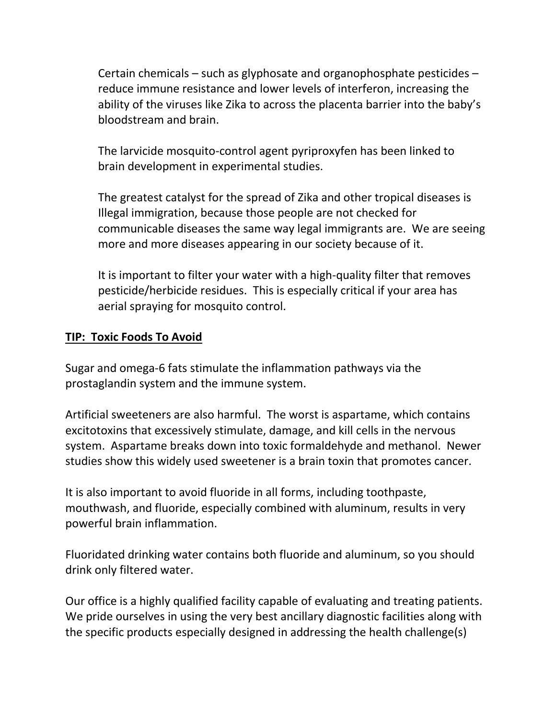Certain chemicals – such as glyphosate and organophosphate pesticides – reduce immune resistance and lower levels of interferon, increasing the ability of the viruses like Zika to across the placenta barrier into the baby's bloodstream and brain.

The larvicide mosquito-control agent pyriproxyfen has been linked to brain development in experimental studies.

The greatest catalyst for the spread of Zika and other tropical diseases is Illegal immigration, because those people are not checked for communicable diseases the same way legal immigrants are. We are seeing more and more diseases appearing in our society because of it.

It is important to filter your water with a high-quality filter that removes pesticide/herbicide residues. This is especially critical if your area has aerial spraying for mosquito control.

#### **TIP: Toxic Foods To Avoid**

Sugar and omega-6 fats stimulate the inflammation pathways via the prostaglandin system and the immune system.

Artificial sweeteners are also harmful. The worst is aspartame, which contains excitotoxins that excessively stimulate, damage, and kill cells in the nervous system. Aspartame breaks down into toxic formaldehyde and methanol. Newer studies show this widely used sweetener is a brain toxin that promotes cancer.

It is also important to avoid fluoride in all forms, including toothpaste, mouthwash, and fluoride, especially combined with aluminum, results in very powerful brain inflammation.

Fluoridated drinking water contains both fluoride and aluminum, so you should drink only filtered water.

Our office is a highly qualified facility capable of evaluating and treating patients. We pride ourselves in using the very best ancillary diagnostic facilities along with the specific products especially designed in addressing the health challenge(s)